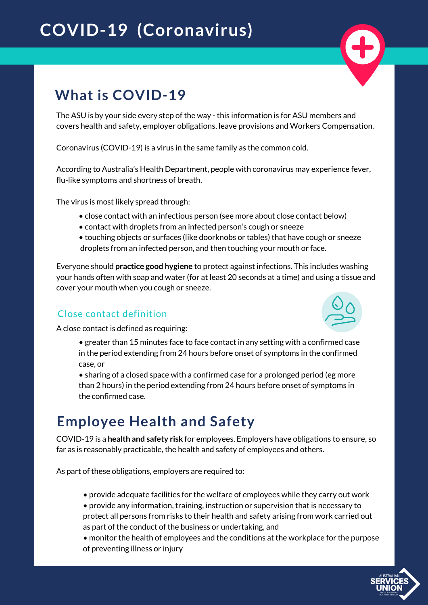# **COVID-19 (Coronavirus)**



### **What is COVID-19**

The ASU is by your side every step of the way - this information is for ASU members and covers health and safety, employer obligations, leave provisions and Workers Compensation.

Coronavirus (COVID-19) is a virus in the same family as the common cold.

According to Australia's Health Department, people with coronavirus may experience fever, flu-like symptoms and shortness of breath.

The virus is most likely spread through:

- close contact with an infectious person (see more about close contact below)
- contact with droplets from an infected person's cough or sneeze
- touching objects or surfaces (like doorknobs or tables) that have cough or sneeze droplets from an infected person, and then touching your mouth or face.

Everyone should **practice good hygiene** to protect against infections. This includes washing your hands often with soap and water (for at least 20 seconds at a time) and using a tissue and cover your mouth when you cough or sneeze.

#### Close contact definition

A close contact is defined as requiring:



- greater than 15 minutes face to face contact in any setting with a confirmed case in the period extending from 24 hours before onset of symptoms in the confirmed case, or
- sharing of a closed space with a confirmed case for a prolonged period (eg more than 2 hours) in the period extending from 24 hours before onset of symptoms in the confirmed case.

### **Employee Health and Safety**

COVID-19 is a **health and safety risk** for employees. Employers have obligations to ensure, so far as is reasonably practicable, the health and safety of employees and others.

As part of these obligations, employers are required to:

- provide adequate facilities for the welfare of employees while they carry out work
- provide any information, training, instruction or supervision that is necessary to protect all persons from risks to their health and safety arising from work carried out as part of the conduct of the business or undertaking, and

• monitor the health of employees and the conditions at the workplace for the purpose of preventing illness or injury

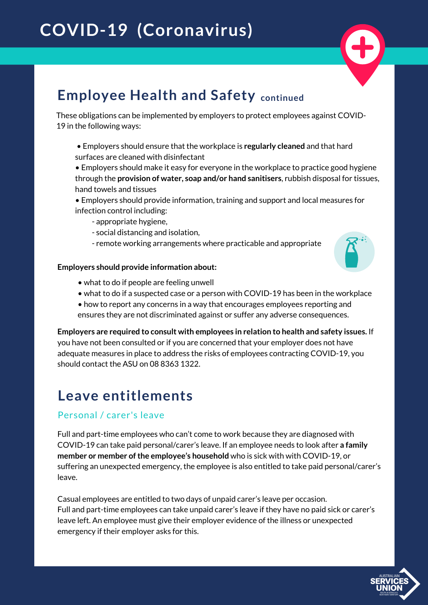

### **Employee Health and Safety continued**

These obligations can be implemented by employers to protect employees against COVID-19 in the following ways:

- Employers should ensure that the workplace is **regularly cleaned** and that hard surfaces are cleaned with disinfectant
- Employers should make it easy for everyone in the workplace to practice good hygiene through the **provision of water, soap and/or hand sanitisers**, rubbish disposal for tissues, hand towels and tissues
- Employers should provide information, training and support and local measures for infection control including:
	- appropriate hygiene,
	- social distancing and isolation,
	- remote working arrangements where practicable and appropriate

#### **Employers should provide information about:**

- what to do if people are feeling unwell
- what to do if a suspected case or a person with COVID-19 has been in the workplace
- how to report any concerns in a way that encourages employees reporting and ensures they are not discriminated against or suffer any adverse consequences.

**Employers are required to consult with employees in relation to health and safety issues.** If you have not been consulted or if you are concerned that your employer does not have adequate measures in place to address the risks of employees contracting COVID-19, you should contact the ASU on 08 8363 1322.

### **Leave entitlements**

#### Personal / carer's leave

Full and part-time employees who can't come to work because they are diagnosed with COVID-19 can take paid personal/carer's leave. If an employee needs to look after **a family member or member ofthe employee's household** who is sick with with COVID-19, or suffering an unexpected emergency, the employee is also entitled to take paid personal/carer's leave.

Casual employees are entitled to two days of unpaid carer's leave per occasion. Full and part-time employees can take unpaid carer's leave if they have no paid sick or carer's leave left. An employee must give their employer evidence of the illness or unexpected emergency if their employer asks for this.

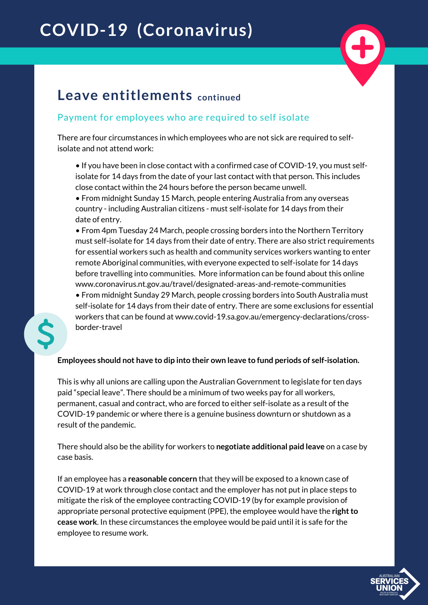# **COVID-19 (Coronavirus)**



### **Leave entitlements continued**

#### Payment for employees who are required to self isolate

There are four circumstances in which employees who are not sick are required to selfisolate and not attend work:

• If you have been in close contact with a confirmed case of COVID-19, you must selfisolate for 14 days from the date of your last contact with that person. This includes close contact within the 24 hours before the person became unwell.

• From midnight Sunday 15 March, people entering Australia from any overseas country - including Australian citizens - must self-isolate for 14 days from their date of entry.

• From 4pm Tuesday 24 March, people crossing borders into the Northern Territory must self-isolate for 14 days from their date of entry. There are also strict requirements for essential workers such as health and community services workers wanting to enter remote Aboriginal communities, with everyone expected to self-isolate for 14 days before travelling into communities. More information can be found about this online www.coronavirus.nt.gov.au/travel/designated-areas-and-remote-communities

• From midnight Sunday 29 March, people crossing borders into South Australia must self-isolate for 14 days from their date of entry. There are some exclusions for essential workers that can be found at www.covid-19.sa.gov.au/emergency-declarations/crossborder-travel



#### **Employees should not have to dip into their own leave to fund periods of self-isolation.**

This is why all unions are calling upon the Australian Government to legislate for ten days paid "special leave". There should be a minimum of two weeks pay for all workers, permanent, casual and contract, who are forced to either self-isolate as a result of the COVID-19 pandemic or where there is a genuine business downturn or shutdown as a result of the pandemic.

There should also be the ability for workers to **negotiate additional paid leave** on a case by case basis.

If an employee has a **reasonable concern** that they will be exposed to a known case of COVID-19 at work through close contact and the employer has not put in place steps to mitigate the risk of the employee contracting COVID-19 (by for example provision of appropriate personal protective equipment (PPE), the employee would have the **right to cease work**. In these circumstances the employee would be paid until it is safe for the employee to resume work.